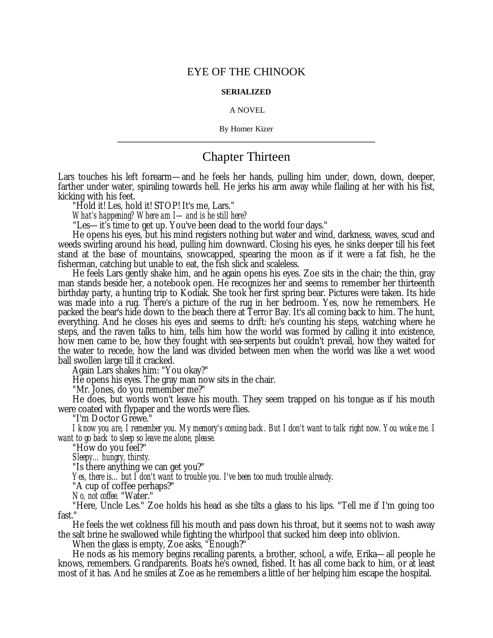# EYE OF THE CHINOOK

## **SERIALIZED**

#### A NOVEL

## By Homer Kizer **\_\_\_\_\_\_\_\_\_\_\_\_\_\_\_\_\_\_\_\_\_\_\_\_\_\_\_\_\_\_\_\_\_\_\_\_\_\_\_\_\_\_\_\_\_\_\_\_\_\_\_\_\_\_\_\_\_\_\_\_\_\_\_\_**

# Chapter Thirteen

Lars touches his left forearm— and he feels her hands, pulling him under, down, down, deeper, farther under water, spiraling towards hell. He jerks his arm away while flailing at her with his fist, kicking with his feet.

"Hold it! Les, hold it! STOP! It's me, Lars."

*What's happening? Where am I— and is he still here?*

"Les— it's time to get up. You've been dead to the world four days."

He opens his eyes, but his mind registers nothing but water and wind, darkness, waves, scud and weeds swirling around his head, pulling him downward. Closing his eyes, he sinks deeper till his feet stand at the base of mountains, snowcapped, spearing the moon as if it were a fat fish, he the fisherman, catching but unable to eat, the fish slick and scaleless.

He feels Lars gently shake him, and he again opens his eyes. Zoe sits in the chair; the thin, gray man stands beside her, a notebook open. He recognizes her and seems to remember her thirteenth birthday party, a hunting trip to Kodiak. She took her first spring bear. Pictures were taken. Its hide was made into a rug. There's a picture of the rug in her bedroom. Yes, now he remembers. He packed the bear's hide down to the beach there at Terror Bay. It's all coming back to him. The hunt, everything. And he closes his eyes and seems to drift: he's counting his steps, watching where he steps, and the raven talks to him, tells him how the world was formed by calling it into existence, how men came to be, how they fought with sea-serpents but couldn't prevail, how they waited for the water to recede, how the land was divided between men when the world was like a wet wood ball swollen large till it cracked.

Again Lars shakes him: "You okay?"

He opens his eyes. The gray man now sits in the chair.

"Mr. Jones, do you remember me?"

He does, but words won't leave his mouth. They seem trapped on his tongue as if his mouth were coated with flypaper and the words were flies.

"I'm Doctor Grewe."

*I know you are, I remember you. My memory's coming back. But I don't want to talk right now. You woke me. I want to go back to sleep so leave me alone, please.*

"How do you feel?"

*Sleepy… hungry, thirsty.*

"Is there anything we can get you?"

*Yes, there is… but I don't want to trouble you. I've been too much trouble already.*

"A cup of coffee perhaps?"

*No, not coffee.* "Water."

"Here, Uncle Les." Zoe holds his head as she tilts a glass to his lips. "Tell me if I'm going too fast."

He feels the wet coldness fill his mouth and pass down his throat, but it seems not to wash away the salt brine he swallowed while fighting the whirlpool that sucked him deep into oblivion.

When the glass is empty, Zoe asks, "Enough?"

He nods as his memory begins recalling parents, a brother, school, a wife, Erika— all people he knows, remembers. Grandparents. Boats he's owned, fished. It has all come back to him, or at least most of it has. And he smiles at Zoe as he remembers a little of her helping him escape the hospital.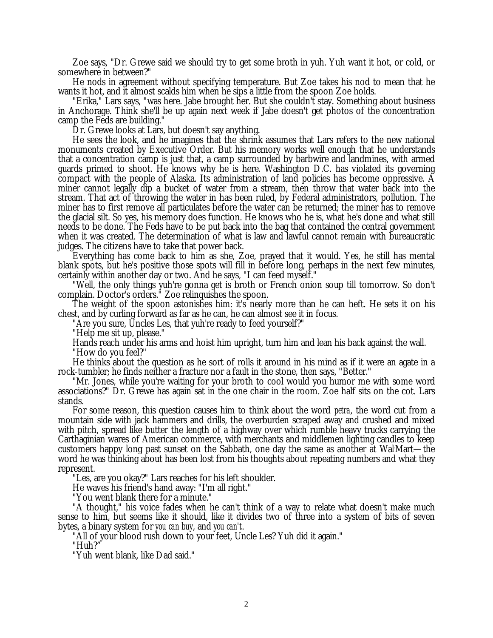Zoe says, "Dr. Grewe said we should try to get some broth in yuh. Yuh want it hot, or cold, or somewhere in between?"

He nods in agreement without specifying temperature. But Zoe takes his nod to mean that he wants it hot, and it almost scalds him when he sips a little from the spoon Zoe holds.

"Erika," Lars says, "was here. Jabe brought her. But she couldn't stay. Something about business in Anchorage. Think she'll be up again next week if Jabe doesn't get photos of the concentration camp the Feds are building."

Dr. Grewe looks at Lars, but doesn't say anything.

He sees the look, and he imagines that the shrink assumes that Lars refers to the new national monuments created by Executive Order. But his memory works well enough that he understands that a concentration camp is just that, a camp surrounded by barbwire and landmines, with armed guards primed to shoot. He knows why he is here. Washington D.C. has violated its governing compact with the people of Alaska. Its administration of land policies has become oppressive.  $\tilde{A}$ miner cannot legally dip a bucket of water from a stream, then throw that water back into the stream. That act of throwing the water in has been ruled, by Federal administrators, pollution. The miner has to first remove all particulates before the water can be returned; the miner has to remove the glacial silt. So yes, his memory does function. He knows who he is, what he's done and what still needs to be done. The Feds have to be put back into the bag that contained the central government when it was created. The determination of what is law and lawful cannot remain with bureaucratic judges. The citizens have to take that power back.

Everything has come back to him as she, Zoe, prayed that it would. Yes, he still has mental blank spots, but he's positive those spots will fill in before long, perhaps in the next few minutes, certainly within another day or two. And he says, "I can feed myself."

"Well, the only things yuh're gonna get is broth or French onion soup till tomorrow. So don't complain. Doctor's orders." Zoe relinquishes the spoon.

The weight of the spoon astonishes him: it's nearly more than he can heft. He sets it on his chest, and by curling forward as far as he can, he can almost see it in focus.

"Are you sure, Uncles Les, that yuh're ready to feed yourself?"

"Help me sit up, please."

Hands reach under his arms and hoist him upright, turn him and lean his back against the wall.

"How do you feel?"

He thinks about the question as he sort of rolls it around in his mind as if it were an agate in a rock-tumbler; he finds neither a fracture nor a fault in the stone, then says, "Better."

"Mr. Jones, while you're waiting for your broth to cool would you humor me with some word associations?" Dr. Grewe has again sat in the one chair in the room. Zoe half sits on the cot. Lars stands.

For some reason, this question causes him to think about the word *petra*, the word cut from a mountain side with jack hammers and drills, the overburden scraped away and crushed and mixed with pitch, spread like butter the length of a highway over which rumble heavy trucks carrying the Carthaginian wares of American commerce, with merchants and middlemen lighting candles to keep customers happy long past sunset on the Sabbath, one day the same as another at Wal.Mart— the word he was thinking about has been lost from his thoughts about repeating numbers and what they represent.

"Les, are you okay?" Lars reaches for his left shoulder.

He waves his friend's hand away: "I'm all right."

"You went blank there for a minute."

"A thought," his voice fades when he can't think of a way to relate what doesn't make much sense to him, but seems like it should, like it divides two of three into a system of bits of seven bytes, a binary system for *you can buy*, and *you can't*.

"All of your blood rush down to your feet, Uncle Les? Yuh did it again."

"Huh?"

"Yuh went blank, like Dad said."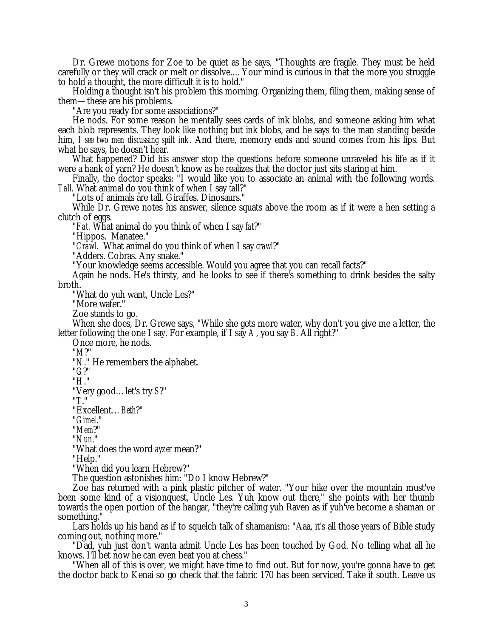Dr. Grewe motions for Zoe to be quiet as he says, "Thoughts are fragile. They must be held carefully or they will crack or melt or dissolve.… Your mind is curious in that the more you struggle to hold a thought, the more difficult it is to hold."

Holding a thought isn't his problem this morning. Organizing them, filing them, making sense of them— these are his problems.

"Are you ready for some associations?"

He nods. For some reason he mentally sees cards of ink blobs, and someone asking him what each blob represents. They look like nothing but ink blobs, and he says to the man standing beside him, *I see two men discussing spilt ink*. And there, memory ends and sound comes from his lips. But what he says, he doesn't hear.

What happened? Did his answer stop the questions before someone unraveled his life as if it were a hank of yarn? He doesn't know as he realizes that the doctor just sits staring at him.

Finally, the doctor speaks: "I would like you to associate an animal with the following words. *Tall.* What animal do you think of when I say *tall*?"

"Lots of animals are tall. Giraffes. Dinosaurs."

While Dr. Grewe notes his answer, silence squats above the room as if it were a hen setting a clutch of eggs.

"*Fat.* What animal do you think of when I say *fat*?"

"Hippos. Manatee."

"*Crawl.* What animal do you think of when I say *crawl*?"

"Adders. Cobras. Any snake."

"Your knowledge seems accessible. Would you agree that you can recall facts?"

Again he nods. He's thirsty, and he looks to see if there's something to drink besides the salty broth.

"What do yuh want, Uncle Les?"

"More water."

Zoe stands to go.

When she does, Dr. Grewe says, "While she gets more water, why don't you give me a letter, the letter following the one I say. For example, if I say *A*, you say *B*. All right?"

Once more, he nods.

"*M*?"

"*N*." He remembers the alphabet.

"*G*?"

"*H*."

"Very good… let's try *S*?"

"*T*."

"Excellent… *Beth*?"

"*Gimel*."

"*Mem*?"

"*Nun*."

"What does the word *ayzer* mean?"

"Help."

"When did you learn Hebrew?"

The question astonishes him: "Do I know Hebrew?"

Zoe has returned with a pink plastic pitcher of water. "Your hike over the mountain must've been some kind of a visionquest, Uncle Les. Yuh know out there," she points with her thumb towards the open portion of the hangar, "they're calling yuh Raven as if yuh've become a shaman or something."

Lars holds up his hand as if to squelch talk of shamanism: "Aaa, it's all those years of Bible study coming out, nothing more."

"Dad, yuh just don't wanta admit Uncle Les has been touched by God. No telling what all he knows. I'll bet now he can even beat you at chess."

"When all of this is over, we might have time to find out. But for now, you're gonna have to get the doctor back to Kenai so go check that the fabric 170 has been serviced. Take it south. Leave us